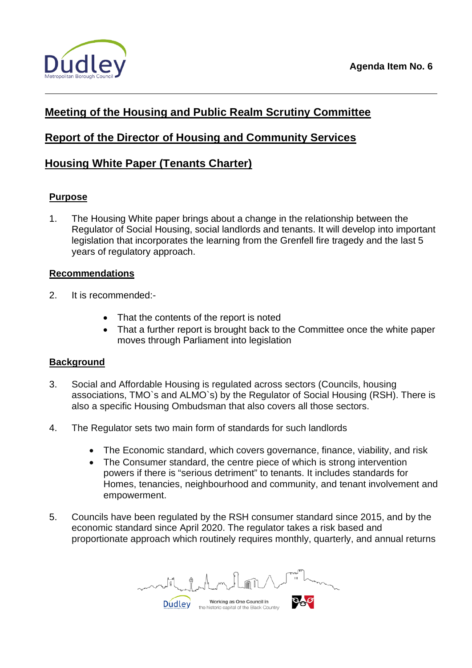

# **Meeting of the Housing and Public Realm Scrutiny Committee**

# **Report of the Director of Housing and Community Services**

## **Housing White Paper (Tenants Charter)**

### **Purpose**

1. The Housing White paper brings about a change in the relationship between the Regulator of Social Housing, social landlords and tenants. It will develop into important legislation that incorporates the learning from the Grenfell fire tragedy and the last 5 years of regulatory approach.

### **Recommendations**

- 2. It is recommended:-
	- That the contents of the report is noted
	- That a further report is brought back to the Committee once the white paper moves through Parliament into legislation

### **Background**

- 3. Social and Affordable Housing is regulated across sectors (Councils, housing associations, TMO`s and ALMO`s) by the Regulator of Social Housing (RSH). There is also a specific Housing Ombudsman that also covers all those sectors.
- 4. The Regulator sets two main form of standards for such landlords
	- The Economic standard, which covers governance, finance, viability, and risk
	- The Consumer standard, the centre piece of which is strong intervention powers if there is "serious detriment" to tenants. It includes standards for Homes, tenancies, neighbourhood and community, and tenant involvement and empowerment.
- 5. Councils have been regulated by the RSH consumer standard since 2015, and by the economic standard since April 2020. The regulator takes a risk based and proportionate approach which routinely requires monthly, quarterly, and annual returns

Working as One Council in **Dudley** the historic capital of the Black Country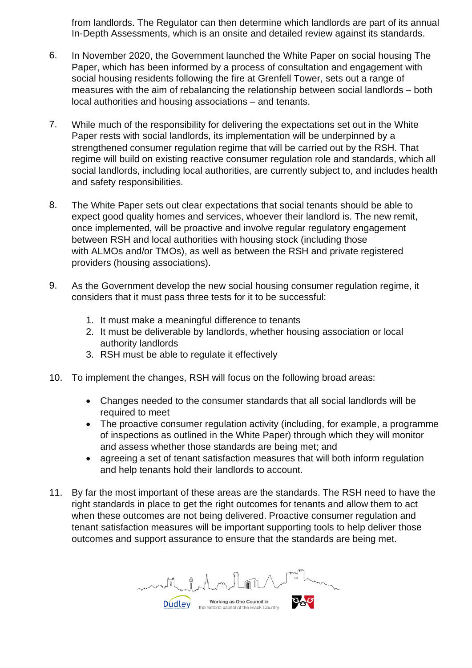from landlords. The Regulator can then determine which landlords are part of its annual In-Depth Assessments, which is an onsite and detailed review against its standards.

- 6. In November 2020, the Government launched the White Paper on social housing The Paper, which has been informed by a process of consultation and engagement with social housing residents following the fire at Grenfell Tower, sets out a range of measures with the aim of rebalancing the relationship between social landlords – both local authorities and housing associations – and tenants.
- 7. While much of the responsibility for delivering the expectations set out in the White Paper rests with social landlords, its implementation will be underpinned by a strengthened consumer regulation regime that will be carried out by the RSH. That regime will build on existing reactive consumer regulation role and standards, which all social landlords, including local authorities, are currently subject to, and includes health and safety responsibilities.
- 8. The White Paper sets out clear expectations that social tenants should be able to expect good quality homes and services, whoever their landlord is. The new remit, once implemented, will be proactive and involve regular regulatory engagement between RSH and local authorities with housing stock (including those with ALMOs and/or TMOs), as well as between the RSH and private registered providers (housing associations).
- 9. As the Government develop the new social housing consumer regulation regime, it considers that it must pass three tests for it to be successful:
	- 1. It must make a meaningful difference to tenants
	- 2. It must be deliverable by landlords, whether housing association or local authority landlords
	- 3. RSH must be able to regulate it effectively
- 10. To implement the changes, RSH will focus on the following broad areas:
	- Changes needed to the consumer standards that all social landlords will be required to meet
	- The proactive consumer regulation activity (including, for example, a programme of inspections as outlined in the White Paper) through which they will monitor and assess whether those standards are being met; and
	- agreeing a set of tenant satisfaction measures that will both inform regulation and help tenants hold their landlords to account.
- 11. By far the most important of these areas are the standards. The RSH need to have the right standards in place to get the right outcomes for tenants and allow them to act when these outcomes are not being delivered. Proactive consumer regulation and tenant satisfaction measures will be important supporting tools to help deliver those outcomes and support assurance to ensure that the standards are being met.

Working as One Council in **Dudley** the historic capital of the Black Country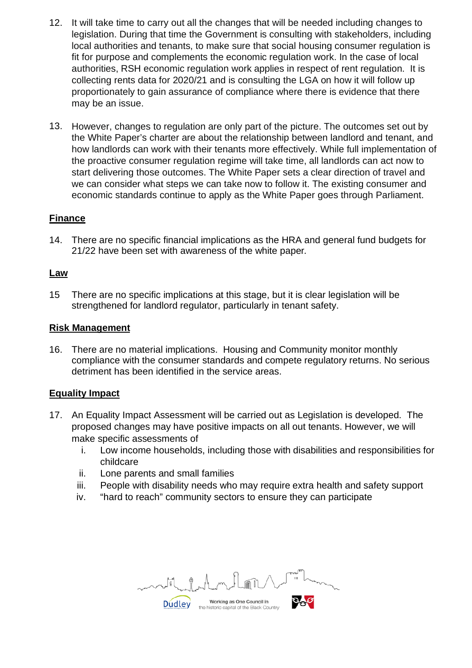- 12. It will take time to carry out all the changes that will be needed including changes to legislation. During that time the Government is consulting with stakeholders, including local authorities and tenants, to make sure that social housing consumer regulation is fit for purpose and complements the economic regulation work. In the case of local authorities, RSH economic regulation work applies in respect of rent regulation. It is collecting rents data for 2020/21 and is consulting the LGA on how it will follow up proportionately to gain assurance of compliance where there is evidence that there may be an issue.
- 13. However, changes to regulation are only part of the picture. The outcomes set out by the White Paper's charter are about the relationship between landlord and tenant, and how landlords can work with their tenants more effectively. While full implementation of the proactive consumer regulation regime will take time, all landlords can act now to start delivering those outcomes. The White Paper sets a clear direction of travel and we can consider what steps we can take now to follow it. The existing consumer and economic standards continue to apply as the White Paper goes through Parliament.

### **Finance**

14. There are no specific financial implications as the HRA and general fund budgets for 21/22 have been set with awareness of the white paper*.*

### **Law**

15 There are no specific implications at this stage, but it is clear legislation will be strengthened for landlord regulator, particularly in tenant safety.

#### **Risk Management**

16. There are no material implications. Housing and Community monitor monthly compliance with the consumer standards and compete regulatory returns. No serious detriment has been identified in the service areas.

### **Equality Impact**

- 17. An Equality Impact Assessment will be carried out as Legislation is developed. The proposed changes may have positive impacts on all out tenants. However, we will make specific assessments of
	- i. Low income households, including those with disabilities and responsibilities for childcare
	- ii. Lone parents and small families
	- iii. People with disability needs who may require extra health and safety support
	- iv. "hard to reach" community sectors to ensure they can participate

Working as One Council in **Dudley** the historic capital of the Black Country